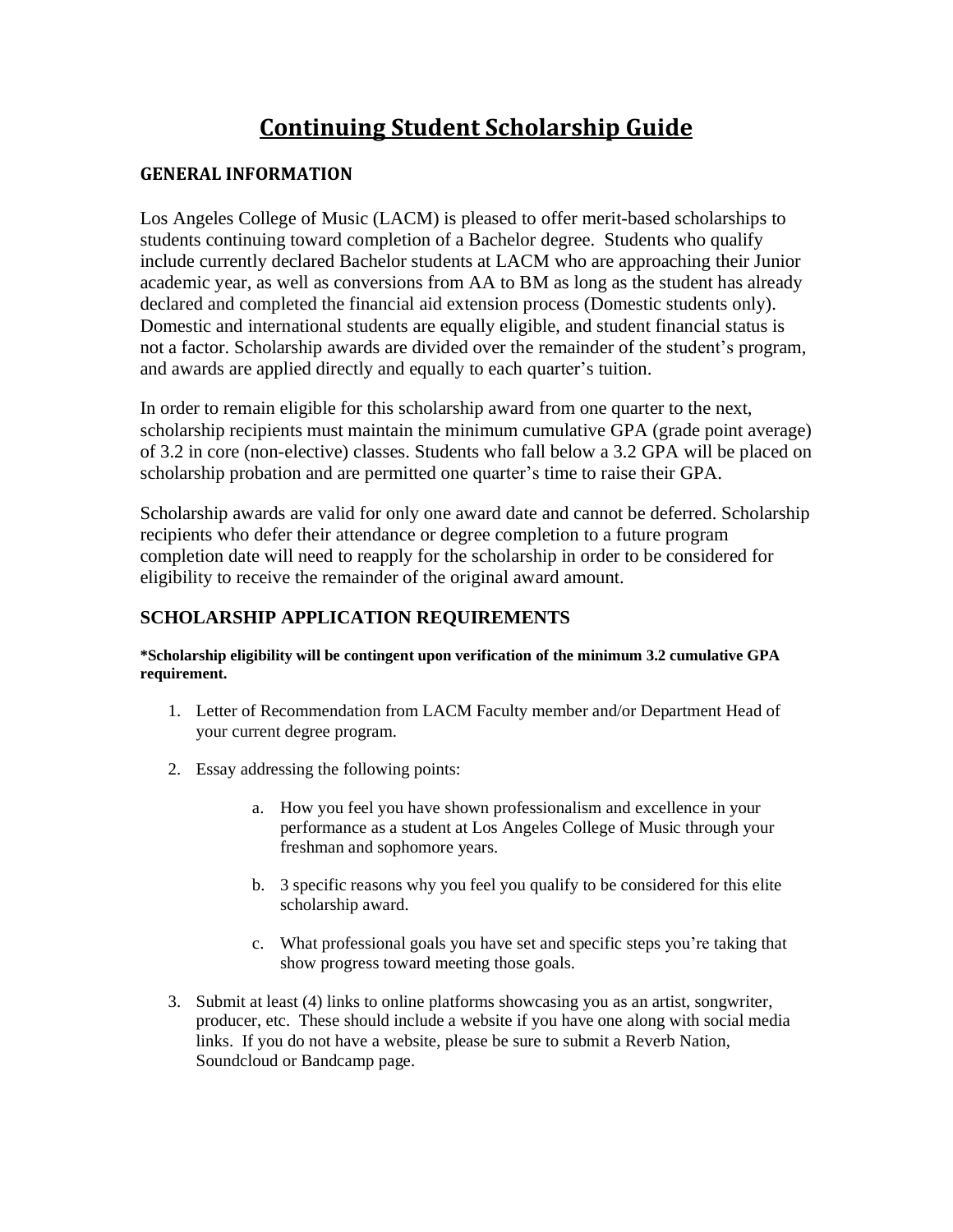# **Continuing Student Scholarship Guide**

# **GENERAL INFORMATION**

Los Angeles College of Music (LACM) is pleased to offer merit-based scholarships to students continuing toward completion of a Bachelor degree. Students who qualify include currently declared Bachelor students at LACM who are approaching their Junior academic year, as well as conversions from AA to BM as long as the student has already declared and completed the financial aid extension process (Domestic students only). Domestic and international students are equally eligible, and student financial status is not a factor. Scholarship awards are divided over the remainder of the student's program, and awards are applied directly and equally to each quarter's tuition.

In order to remain eligible for this scholarship award from one quarter to the next, scholarship recipients must maintain the minimum cumulative GPA (grade point average) of 3.2 in core (non-elective) classes. Students who fall below a 3.2 GPA will be placed on scholarship probation and are permitted one quarter's time to raise their GPA.

Scholarship awards are valid for only one award date and cannot be deferred. Scholarship recipients who defer their attendance or degree completion to a future program completion date will need to reapply for the scholarship in order to be considered for eligibility to receive the remainder of the original award amount.

# **SCHOLARSHIP APPLICATION REQUIREMENTS**

**\*Scholarship eligibility will be contingent upon verification of the minimum 3.2 cumulative GPA requirement.**

- 1. Letter of Recommendation from LACM Faculty member and/or Department Head of your current degree program.
- 2. Essay addressing the following points:
	- a. How you feel you have shown professionalism and excellence in your performance as a student at Los Angeles College of Music through your freshman and sophomore years.
	- b. 3 specific reasons why you feel you qualify to be considered for this elite scholarship award.
	- c. What professional goals you have set and specific steps you're taking that show progress toward meeting those goals.
- 3. Submit at least (4) links to online platforms showcasing you as an artist, songwriter, producer, etc. These should include a website if you have one along with social media links. If you do not have a website, please be sure to submit a Reverb Nation, Soundcloud or Bandcamp page.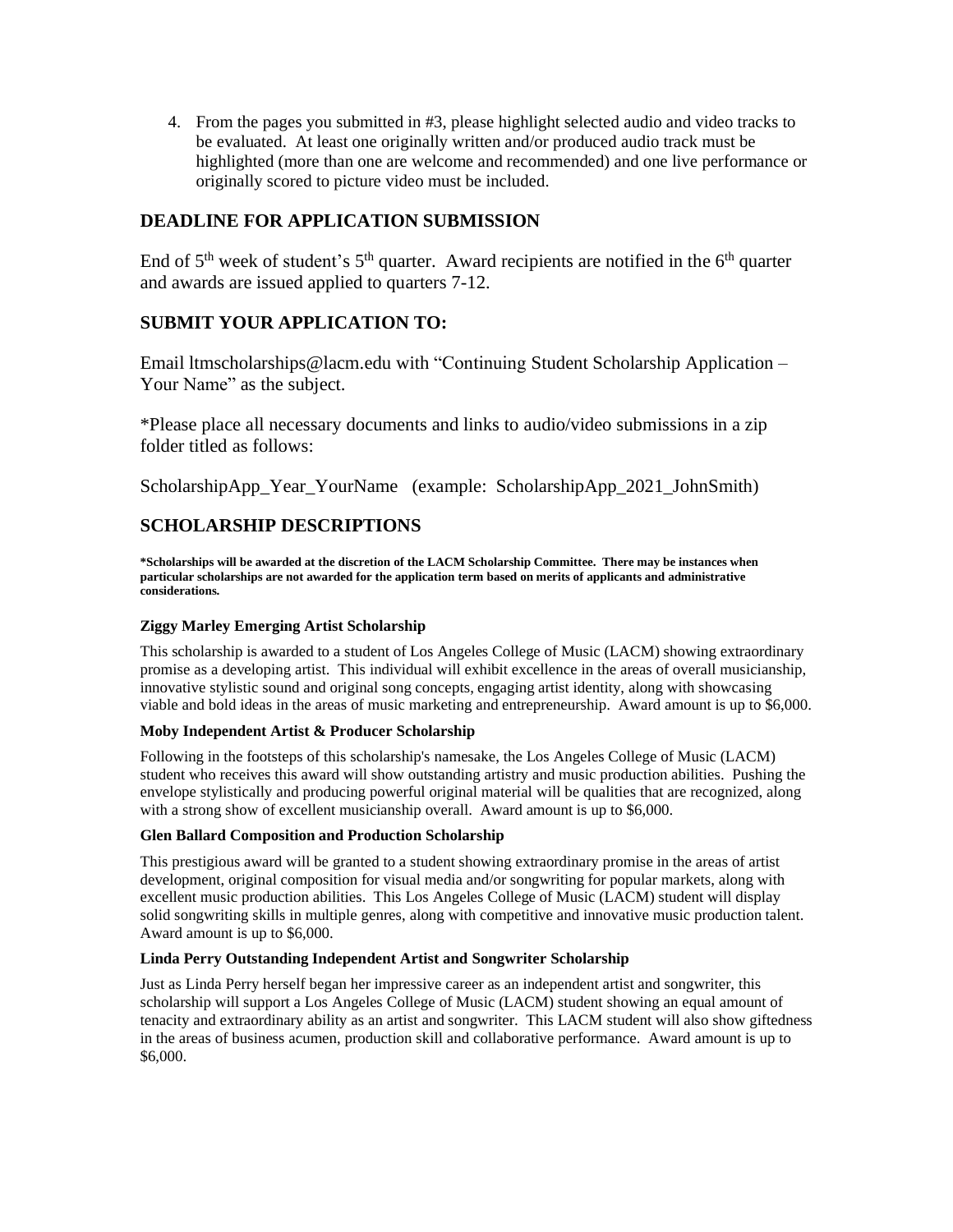4. From the pages you submitted in #3, please highlight selected audio and video tracks to be evaluated. At least one originally written and/or produced audio track must be highlighted (more than one are welcome and recommended) and one live performance or originally scored to picture video must be included.

# **DEADLINE FOR APPLICATION SUBMISSION**

End of  $5<sup>th</sup>$  week of student's  $5<sup>th</sup>$  quarter. Award recipients are notified in the  $6<sup>th</sup>$  quarter and awards are issued applied to quarters 7-12.

# **SUBMIT YOUR APPLICATION TO:**

Email ltmscholarships@lacm.edu with "Continuing Student Scholarship Application – Your Name" as the subject.

\*Please place all necessary documents and links to audio/video submissions in a zip folder titled as follows:

ScholarshipApp\_Year\_YourName (example: ScholarshipApp\_2021\_JohnSmith)

# **SCHOLARSHIP DESCRIPTIONS**

**\*Scholarships will be awarded at the discretion of the LACM Scholarship Committee. There may be instances when** particular scholarships are not awarded for the application term based on merits of applicants and administrative **considerations.**

# **Ziggy Marley Emerging Artist Scholarship**

This scholarship is awarded to a student of Los Angeles College of Music (LACM) showing extraordinary promise as a developing artist. This individual will exhibit excellence in the areas of overall musicianship, innovative stylistic sound and original song concepts, engaging artist identity, along with showcasing viable and bold ideas in the areas of music marketing and entrepreneurship. Award amount is up to \$6,000.

# **Moby Independent Artist & Producer Scholarship**

Following in the footsteps of this scholarship's namesake, the Los Angeles College of Music (LACM) student who receives this award will show outstanding artistry and music production abilities. Pushing the envelope stylistically and producing powerful original material will be qualities that are recognized, along with a strong show of excellent musicianship overall. Award amount is up to \$6,000.

# **Glen Ballard Composition and Production Scholarship**

This prestigious award will be granted to a student showing extraordinary promise in the areas of artist development, original composition for visual media and/or songwriting for popular markets, along with excellent music production abilities. This Los Angeles College of Music (LACM) student will display solid songwriting skills in multiple genres, along with competitive and innovative music production talent. Award amount is up to \$6,000.

# **Linda Perry Outstanding Independent Artist and Songwriter Scholarship**

Just as Linda Perry herself began her impressive career as an independent artist and songwriter, this scholarship will support a Los Angeles College of Music (LACM) student showing an equal amount of tenacity and extraordinary ability as an artist and songwriter. This LACM student will also show giftedness in the areas of business acumen, production skill and collaborative performance. Award amount is up to \$6,000.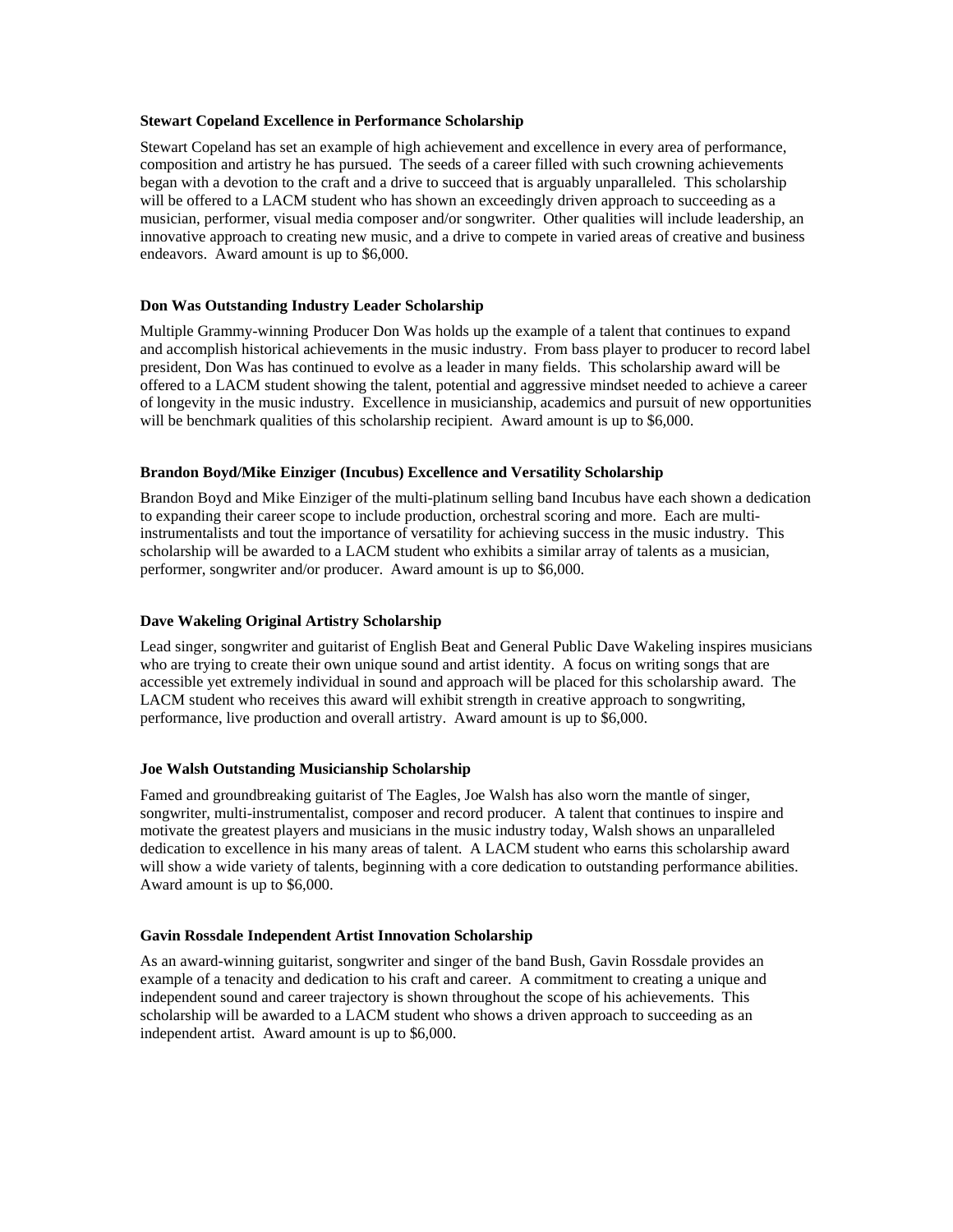### **Stewart Copeland Excellence in Performance Scholarship**

Stewart Copeland has set an example of high achievement and excellence in every area of performance, composition and artistry he has pursued. The seeds of a career filled with such crowning achievements began with a devotion to the craft and a drive to succeed that is arguably unparalleled. This scholarship will be offered to a LACM student who has shown an exceedingly driven approach to succeeding as a musician, performer, visual media composer and/or songwriter. Other qualities will include leadership, an innovative approach to creating new music, and a drive to compete in varied areas of creative and business endeavors. Award amount is up to \$6,000.

## **Don Was Outstanding Industry Leader Scholarship**

Multiple Grammy-winning Producer Don Was holds up the example of a talent that continues to expand and accomplish historical achievements in the music industry. From bass player to producer to record label president, Don Was has continued to evolve as a leader in many fields. This scholarship award will be offered to a LACM student showing the talent, potential and aggressive mindset needed to achieve a career of longevity in the music industry. Excellence in musicianship, academics and pursuit of new opportunities will be benchmark qualities of this scholarship recipient. Award amount is up to \$6,000.

## **Brandon Boyd/Mike Einziger (Incubus) Excellence and Versatility Scholarship**

Brandon Boyd and Mike Einziger of the multi-platinum selling band Incubus have each shown a dedication to expanding their career scope to include production, orchestral scoring and more. Each are multiinstrumentalists and tout the importance of versatility for achieving success in the music industry. This scholarship will be awarded to a LACM student who exhibits a similar array of talents as a musician, performer, songwriter and/or producer. Award amount is up to \$6,000.

# **Dave Wakeling Original Artistry Scholarship**

Lead singer, songwriter and guitarist of English Beat and General Public Dave Wakeling inspires musicians who are trying to create their own unique sound and artist identity. A focus on writing songs that are accessible yet extremely individual in sound and approach will be placed for this scholarship award. The LACM student who receives this award will exhibit strength in creative approach to songwriting, performance, live production and overall artistry. Award amount is up to \$6,000.

# **Joe Walsh Outstanding Musicianship Scholarship**

Famed and groundbreaking guitarist of The Eagles, Joe Walsh has also worn the mantle of singer, songwriter, multi-instrumentalist, composer and record producer. A talent that continues to inspire and motivate the greatest players and musicians in the music industry today, Walsh shows an unparalleled dedication to excellence in his many areas of talent. A LACM student who earns this scholarship award will show a wide variety of talents, beginning with a core dedication to outstanding performance abilities. Award amount is up to \$6,000.

#### **Gavin Rossdale Independent Artist Innovation Scholarship**

As an award-winning guitarist, songwriter and singer of the band Bush, Gavin Rossdale provides an example of a tenacity and dedication to his craft and career. A commitment to creating a unique and independent sound and career trajectory is shown throughout the scope of his achievements. This scholarship will be awarded to a LACM student who shows a driven approach to succeeding as an independent artist. Award amount is up to \$6,000.